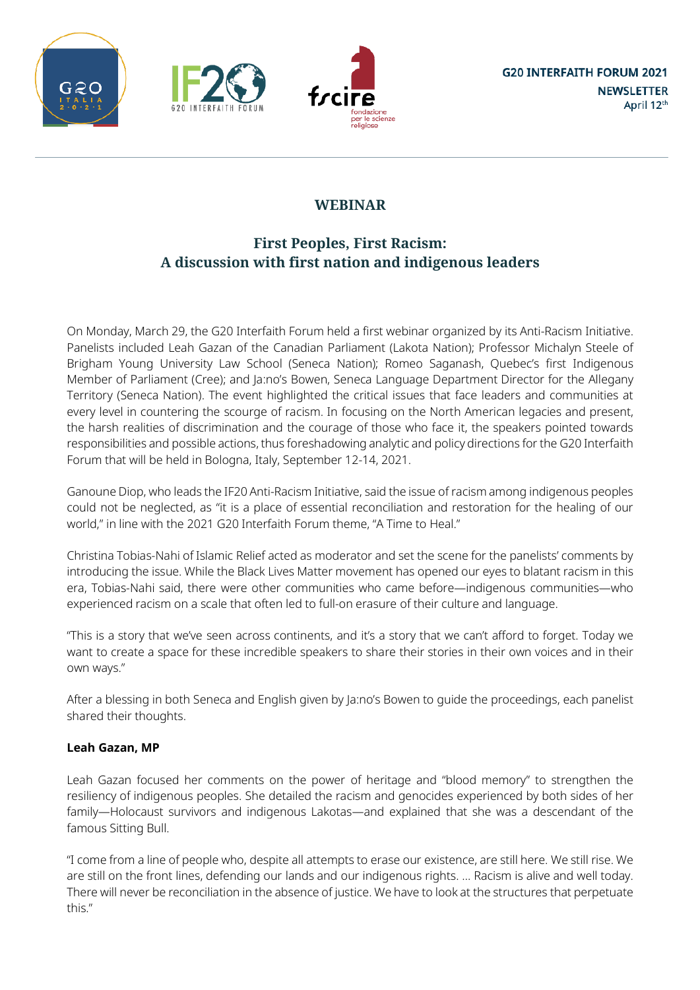





# **WEBINAR**

## **First Peoples, First Racism: A discussion with first nation and indigenous leaders**

On Monday, March 29, the G20 Interfaith Forum held a first webinar organized by its Anti-Racism Initiative. Panelists included Leah Gazan of the Canadian Parliament (Lakota Nation); Professor Michalyn Steele of Brigham Young University Law School (Seneca Nation); Romeo Saganash, Quebec's first Indigenous Member of Parliament (Cree); and Ja:no's Bowen, Seneca Language Department Director for the Allegany Territory (Seneca Nation). The event highlighted the critical issues that face leaders and communities at every level in countering the scourge of racism. In focusing on the North American legacies and present, the harsh realities of discrimination and the courage of those who face it, the speakers pointed towards responsibilities and possible actions, thus foreshadowing analytic and policy directions for the G20 Interfaith Forum that will be held in Bologna, Italy, September 12-14, 2021.

Ganoune Diop, who leads the IF20 Anti-Racism Initiative, said the issue of racism among indigenous peoples could not be neglected, as "it is a place of essential reconciliation and restoration for the healing of our world," in line with the 2021 G20 Interfaith Forum theme, "A Time to Heal."

Christina Tobias-Nahi of Islamic Relief acted as moderator and set the scene for the panelists' comments by introducing the issue. While the Black Lives Matter movement has opened our eyes to blatant racism in this era, Tobias-Nahi said, there were other communities who came before—indigenous communities—who experienced racism on a scale that often led to full-on erasure of their culture and language.

"This is a story that we've seen across continents, and it's a story that we can't afford to forget. Today we want to create a space for these incredible speakers to share their stories in their own voices and in their own ways."

After a blessing in both Seneca and English given by Ja:no's Bowen to guide the proceedings, each panelist shared their thoughts.

### **Leah Gazan, MP**

Leah Gazan focused her comments on the power of heritage and "blood memory" to strengthen the resiliency of indigenous peoples. She detailed the racism and genocides experienced by both sides of her family—Holocaust survivors and indigenous Lakotas—and explained that she was a descendant of the famous Sitting Bull.

"I come from a line of people who, despite all attempts to erase our existence, are still here. We still rise. We are still on the front lines, defending our lands and our indigenous rights. … Racism is alive and well today. There will never be reconciliation in the absence of justice. We have to look at the structures that perpetuate this."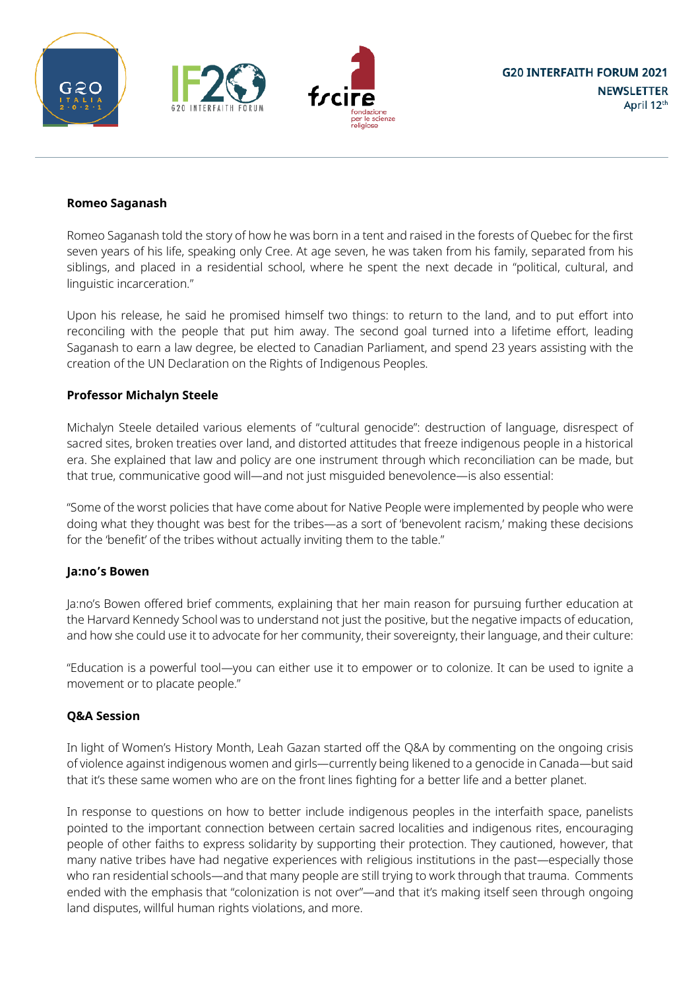





#### **Romeo Saganash**

Romeo Saganash told the story of how he was born in a tent and raised in the forests of Quebec for the first seven years of his life, speaking only Cree. At age seven, he was taken from his family, separated from his siblings, and placed in a residential school, where he spent the next decade in "political, cultural, and linguistic incarceration."

Upon his release, he said he promised himself two things: to return to the land, and to put effort into reconciling with the people that put him away. The second goal turned into a lifetime effort, leading Saganash to earn a law degree, be elected to Canadian Parliament, and spend 23 years assisting with the creation of the UN Declaration on the Rights of Indigenous Peoples.

#### **Professor Michalyn Steele**

Michalyn Steele detailed various elements of "cultural genocide": destruction of language, disrespect of sacred sites, broken treaties over land, and distorted attitudes that freeze indigenous people in a historical era. She explained that law and policy are one instrument through which reconciliation can be made, but that true, communicative good will—and not just misguided benevolence—is also essential:

"Some of the worst policies that have come about for Native People were implemented by people who were doing what they thought was best for the tribes—as a sort of 'benevolent racism,' making these decisions for the 'benefit' of the tribes without actually inviting them to the table."

#### **Ja:no's Bowen**

Ja:no's Bowen offered brief comments, explaining that her main reason for pursuing further education at the Harvard Kennedy School was to understand not just the positive, but the negative impacts of education, and how she could use it to advocate for her community, their sovereignty, their language, and their culture:

"Education is a powerful tool—you can either use it to empower or to colonize. It can be used to ignite a movement or to placate people."

#### **Q&A Session**

In light of Women's History Month, Leah Gazan started off the Q&A by commenting on the ongoing crisis of violence against indigenous women and girls—currently being likened to a genocide in Canada—but said that it's these same women who are on the front lines fighting for a better life and a better planet.

In response to questions on how to better include indigenous peoples in the interfaith space, panelists pointed to the important connection between certain sacred localities and indigenous rites, encouraging people of other faiths to express solidarity by supporting their protection. They cautioned, however, that many native tribes have had negative experiences with religious institutions in the past—especially those who ran residential schools—and that many people are still trying to work through that trauma. Comments ended with the emphasis that "colonization is not over"—and that it's making itself seen through ongoing land disputes, willful human rights violations, and more.